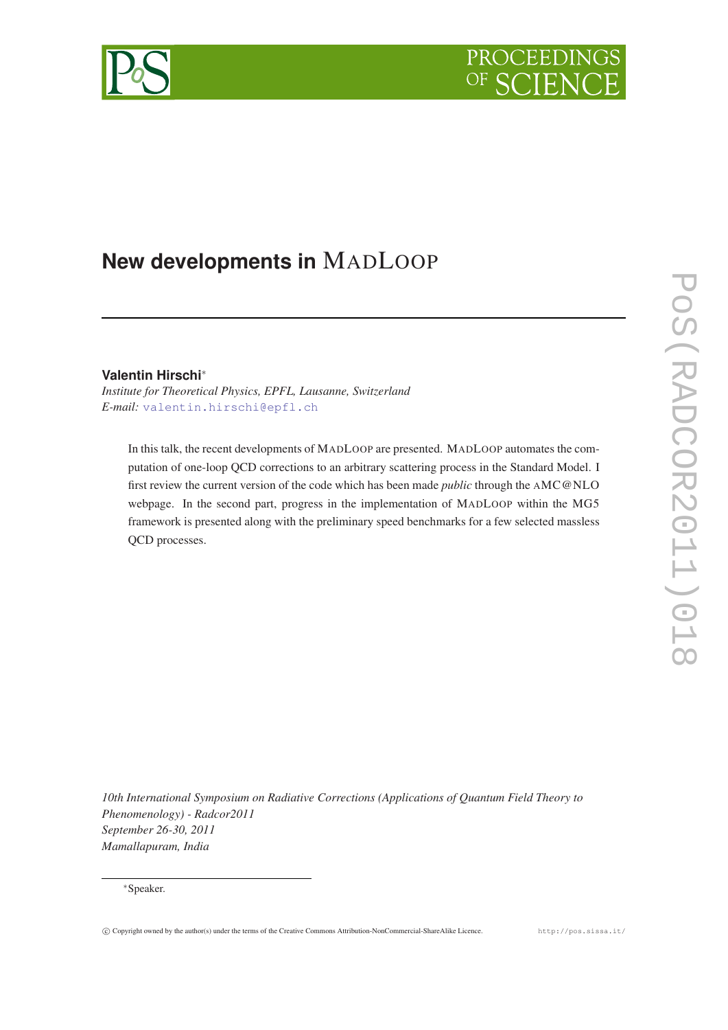# PROCEEDIN



# **New developments in** MADLOOP

# **Valentin Hirschi**<sup>∗</sup>

*Institute for Theoretical Physics, EPFL, Lausanne, Switzerland E-mail:* [valentin.hirschi@epfl.ch](mailto:valentin.hirschi@epfl.ch)

In this talk, the recent developments of MADLOOP are presented. MADLOOP automates the computation of one-loop QCD corrections to an arbitrary scattering process in the Standard Model. I first review the current version of the code which has been made *public* through the AMC@NLO webpage. In the second part, progress in the implementation of MADLOOP within the MG5 framework is presented along with the preliminary speed benchmarks for a few selected massless QCD processes.

*10th International Symposium on Radiative Corrections (Applications of Quantum Field Theory to Phenomenology) - Radcor2011 September 26-30, 2011 Mamallapuram, India*

<sup>∗</sup>Speaker.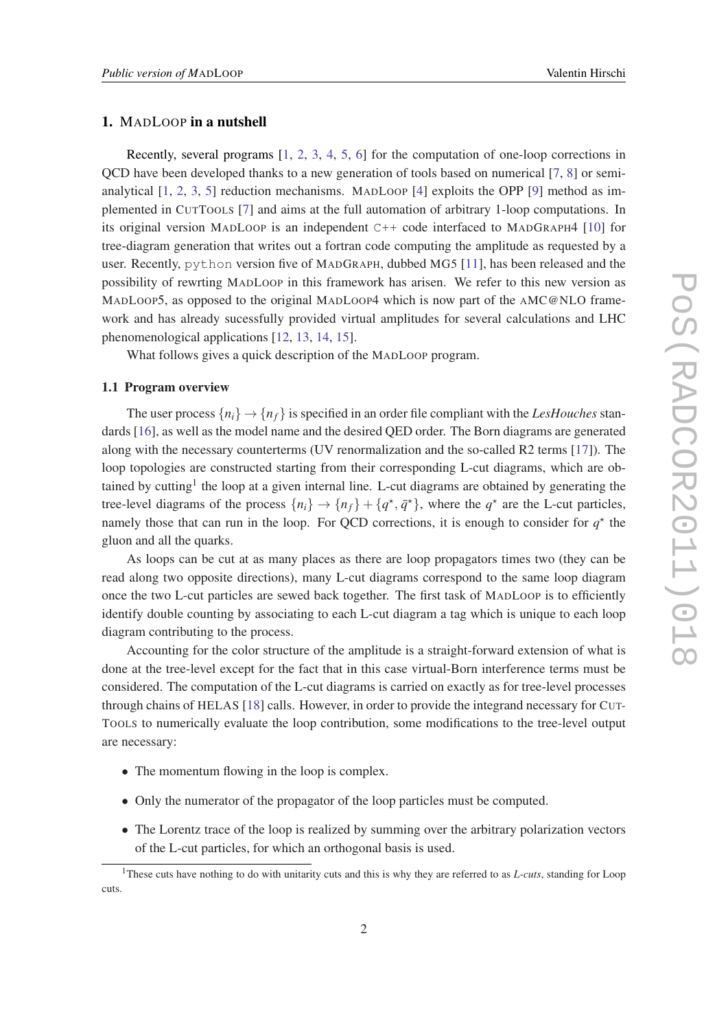### 1. MADLOOP in a nutshell

Recently, several programs [\[1,](#page-5-0) [2,](#page-5-0) [3,](#page-5-0) [4,](#page-5-0) [5,](#page-5-0) [6\]](#page-5-0) for the computation of one-loop corrections in QCD have been developed thanks to a new generation of tools based on numerical [\[7,](#page-5-0) [8](#page-5-0)] or semianalytical  $[1, 2, 3, 5]$  $[1, 2, 3, 5]$  $[1, 2, 3, 5]$  $[1, 2, 3, 5]$  $[1, 2, 3, 5]$  $[1, 2, 3, 5]$  $[1, 2, 3, 5]$  $[1, 2, 3, 5]$  $[1, 2, 3, 5]$  reduction mechanisms. MADLOOP  $[4]$  $[4]$  $[4]$  exploits the OPP  $[9]$  method as implemented in CUTTOOLS [\[7\]](#page-5-0) and aims at the full automation of arbitrary 1-loop computations. In its original version MADLOOP is an independent C++ code interfaced to MADGRAPH4 [\[10](#page-5-0)] for tree-diagram generation that writes out a fortran code computing the amplitude as requested by a user. Recently, python version five of MADGRAPH, dubbed MG5 [[11\]](#page-5-0), has been released and the possibility of rewrting MADLOOP in this framework has arisen. We refer to this new version as MADLOOP5, as opposed to the original MADLOOP4 which is now part of the AMC@NLO framework and has already sucessfully provided virtual amplitudes for several calculations and LHC phenomenological applications [[12,](#page-6-0) [13](#page-6-0), [14](#page-6-0), [15\]](#page-6-0).

What follows gives a quick description of the MADLOOP program.

#### 1.1 Program overview

The user process  $\{n_i\} \rightarrow \{n_f\}$  is specified in an order file compliant with the *LesHouches* standards [[16\]](#page-6-0), as well as the model name and the desired QED order. The Born diagrams are generated along with the necessary counterterms (UV renormalization and the so-called R2 terms [[17](#page-6-0)]). The loop topologies are constructed starting from their corresponding L-cut diagrams, which are obtained by cutting<sup>1</sup> the loop at a given internal line. L-cut diagrams are obtained by generating the tree-level diagrams of the process  $\{n_i\} \rightarrow \{n_f\} + \{q^{\star}, \bar{q}^{\star}\}\$ , where the  $q^{\star}$  are the L-cut particles, namely those that can run in the loop. For QCD corrections, it is enough to consider for  $q^*$  the gluon and all the quarks.

As loops can be cut at as many places as there are loop propagators times two (they can be read along two opposite directions), many L-cut diagrams correspond to the same loop diagram once the two L-cut particles are sewed back together. The first task of MADLOOP is to efficiently identify double counting by associating to each L-cut diagram a tag which is unique to each loop diagram contributing to the process.

Accounting for the color structure of the amplitude is a straight-forward extension of what is done at the tree-level except for the fact that in this case virtual-Born interference terms must be considered. The computation of the L-cut diagrams is carried on exactly as for tree-level processes through chains of HELAS [[18\]](#page-6-0) calls. However, in order to provide the integrand necessary for CUT-TOOLS to numerically evaluate the loop contribution, some modifications to the tree-level output are necessary:

- The momentum flowing in the loop is complex.
- Only the numerator of the propagator of the loop particles must be computed.
- The Lorentz trace of the loop is realized by summing over the arbitrary polarization vectors of the L-cut particles, for which an orthogonal basis is used.

<sup>1</sup>These cuts have nothing to do with unitarity cuts and this is why they are referred to as *L-cuts*, standing for Loop cuts.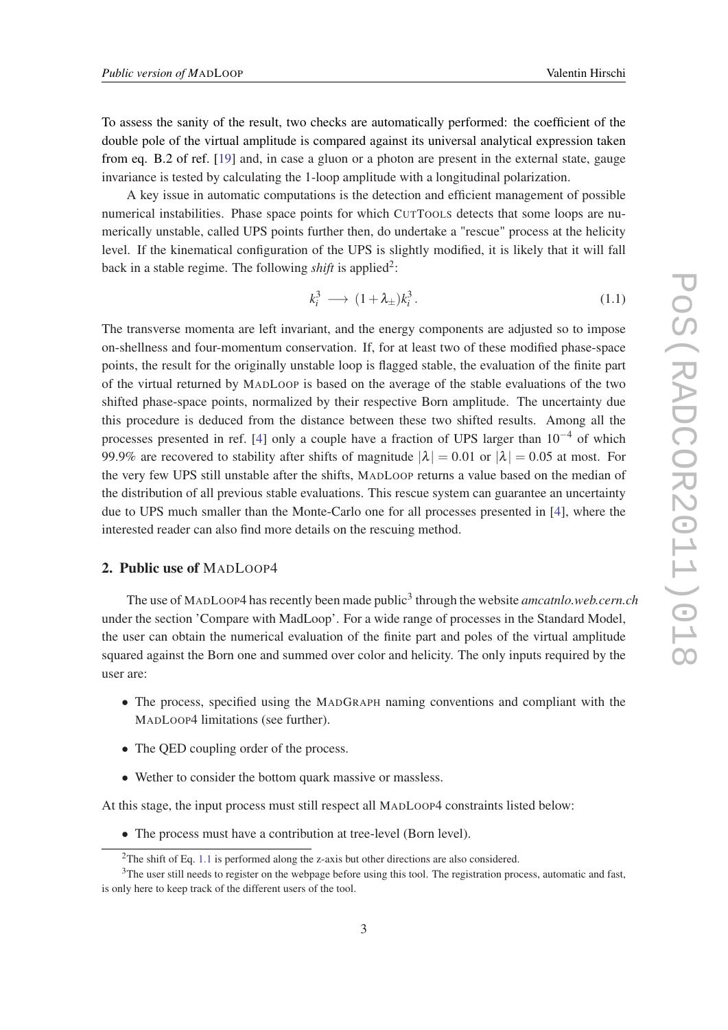<span id="page-2-0"></span>To assess the sanity of the result, two checks are automatically performed: the coefficient of the double pole of the virtual amplitude is compared against its universal analytical expression taken from eq. B.2 of ref. [\[19](#page-6-0)] and, in case a gluon or a photon are present in the external state, gauge invariance is tested by calculating the 1-loop amplitude with a longitudinal polarization.

A key issue in automatic computations is the detection and efficient management of possible numerical instabilities. Phase space points for which CUTTOOLS detects that some loops are numerically unstable, called UPS points further then, do undertake a "rescue" process at the helicity level. If the kinematical configuration of the UPS is slightly modified, it is likely that it will fall back in a stable regime. The following *shift* is applied<sup>2</sup>:

$$
k_i^3 \longrightarrow (1 + \lambda_{\pm})k_i^3. \tag{1.1}
$$

The transverse momenta are left invariant, and the energy components are adjusted so to impose on-shellness and four-momentum conservation. If, for at least two of these modified phase-space points, the result for the originally unstable loop is flagged stable, the evaluation of the finite part of the virtual returned by MADLOOP is based on the average of the stable evaluations of the two shifted phase-space points, normalized by their respective Born amplitude. The uncertainty due this procedure is deduced from the distance between these two shifted results. Among all the processes presented in ref. [\[4\]](#page-5-0) only a couple have a fraction of UPS larger than  $10^{-4}$  of which 99.9% are recovered to stability after shifts of magnitude  $|\lambda| = 0.01$  or  $|\lambda| = 0.05$  at most. For the very few UPS still unstable after the shifts, MADLOOP returns a value based on the median of the distribution of all previous stable evaluations. This rescue system can guarantee an uncertainty due to UPS much smaller than the Monte-Carlo one for all processes presented in [\[4\]](#page-5-0), where the interested reader can also find more details on the rescuing method.

# 2. Public use of MADLOOP4

The use of MADLOOP4 has recently been made public<sup>3</sup> through the website *amcatnlo.web.cern.ch* under the section 'Compare with MadLoop'. For a wide range of processes in the Standard Model, the user can obtain the numerical evaluation of the finite part and poles of the virtual amplitude squared against the Born one and summed over color and helicity. The only inputs required by the user are:

- The process, specified using the MADGRAPH naming conventions and compliant with the MADLOOP4 limitations (see further).
- The QED coupling order of the process.
- Wether to consider the bottom quark massive or massless.

At this stage, the input process must still respect all MADLOOP4 constraints listed below:

• The process must have a contribution at tree-level (Born level).

<sup>&</sup>lt;sup>2</sup>The shift of Eq. 1.1 is performed along the z-axis but other directions are also considered.

<sup>&</sup>lt;sup>3</sup>The user still needs to register on the webpage before using this tool. The registration process, automatic and fast, is only here to keep track of the different users of the tool.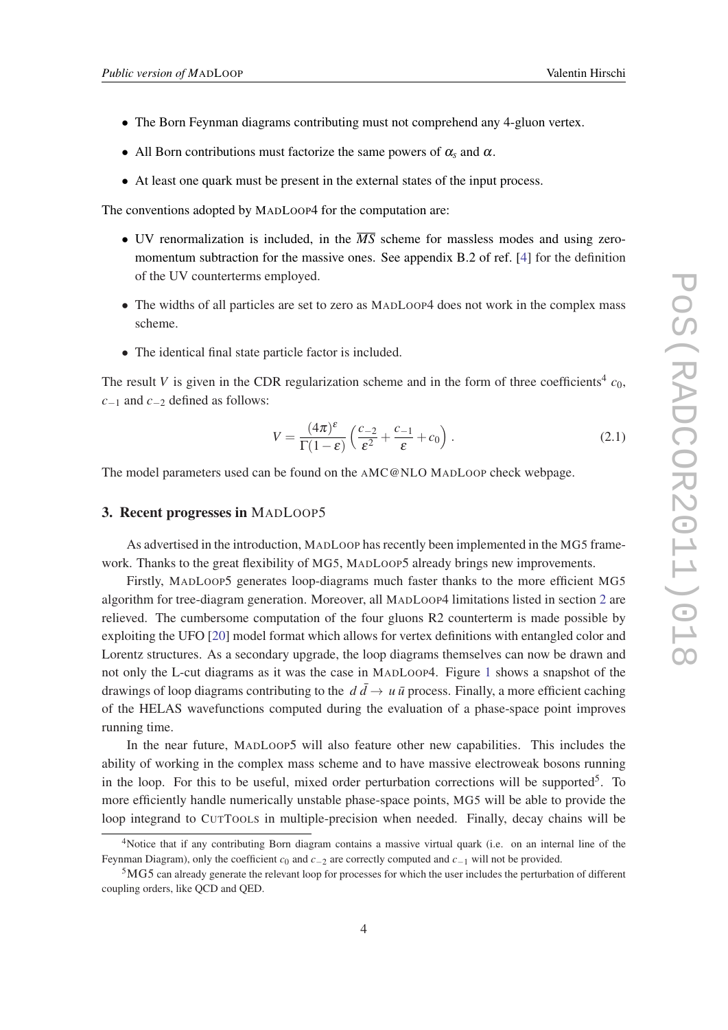- The Born Feynman diagrams contributing must not comprehend any 4-gluon vertex.
- All Born contributions must factorize the same powers of  $\alpha_s$  and  $\alpha$ .
- At least one quark must be present in the external states of the input process.

The conventions adopted by MADLOOP4 for the computation are:

- UV renormalization is included, in the  $\overline{MS}$  scheme for massless modes and using zeromomentum subtraction for the massive ones. See appendix B.2 of ref. [[4](#page-5-0)] for the definition of the UV counterterms employed.
- The widths of all particles are set to zero as MADLOOP4 does not work in the complex mass scheme.
- The identical final state particle factor is included.

The result *V* is given in the CDR regularization scheme and in the form of three coefficients<sup>4</sup>  $c_0$ , *c*−<sup>1</sup> and *c*−<sup>2</sup> defined as follows:

$$
V = \frac{(4\pi)^{\varepsilon}}{\Gamma(1-\varepsilon)} \left( \frac{c_{-2}}{\varepsilon^2} + \frac{c_{-1}}{\varepsilon} + c_0 \right). \tag{2.1}
$$

The model parameters used can be found on the AMC@NLO MADLOOP check webpage.

### 3. Recent progresses in MADLOOP5

As advertised in the introduction, MADLOOP has recently been implemented in the MG5 framework. Thanks to the great flexibility of MG5, MADLOOP5 already brings new improvements.

Firstly, MADLOOP5 generates loop-diagrams much faster thanks to the more efficient MG5 algorithm for tree-diagram generation. Moreover, all MADLOOP4 limitations listed in section [2](#page-2-0) are relieved. The cumbersome computation of the four gluons R2 counterterm is made possible by exploiting the UFO [[20](#page-6-0)] model format which allows for vertex definitions with entangled color and Lorentz structures. As a secondary upgrade, the loop diagrams themselves can now be drawn and not only the L-cut diagrams as it was the case in MADLOOP4. Figure [1](#page-4-0) shows a snapshot of the drawings of loop diagrams contributing to the  $d\bar{d} \rightarrow u\bar{u}$  process. Finally, a more efficient caching of the HELAS wavefunctions computed during the evaluation of a phase-space point improves running time.

In the near future, MADLOOP5 will also feature other new capabilities. This includes the ability of working in the complex mass scheme and to have massive electroweak bosons running in the loop. For this to be useful, mixed order perturbation corrections will be supported<sup>5</sup>. To more efficiently handle numerically unstable phase-space points, MG5 will be able to provide the loop integrand to CUTTOOLS in multiple-precision when needed. Finally, decay chains will be

<sup>4</sup>Notice that if any contributing Born diagram contains a massive virtual quark (i.e. on an internal line of the Feynman Diagram), only the coefficient *c*<sup>0</sup> and *c*−<sup>2</sup> are correctly computed and *c*−<sup>1</sup> will not be provided.

<sup>5</sup>MG5 can already generate the relevant loop for processes for which the user includes the perturbation of different coupling orders, like QCD and QED.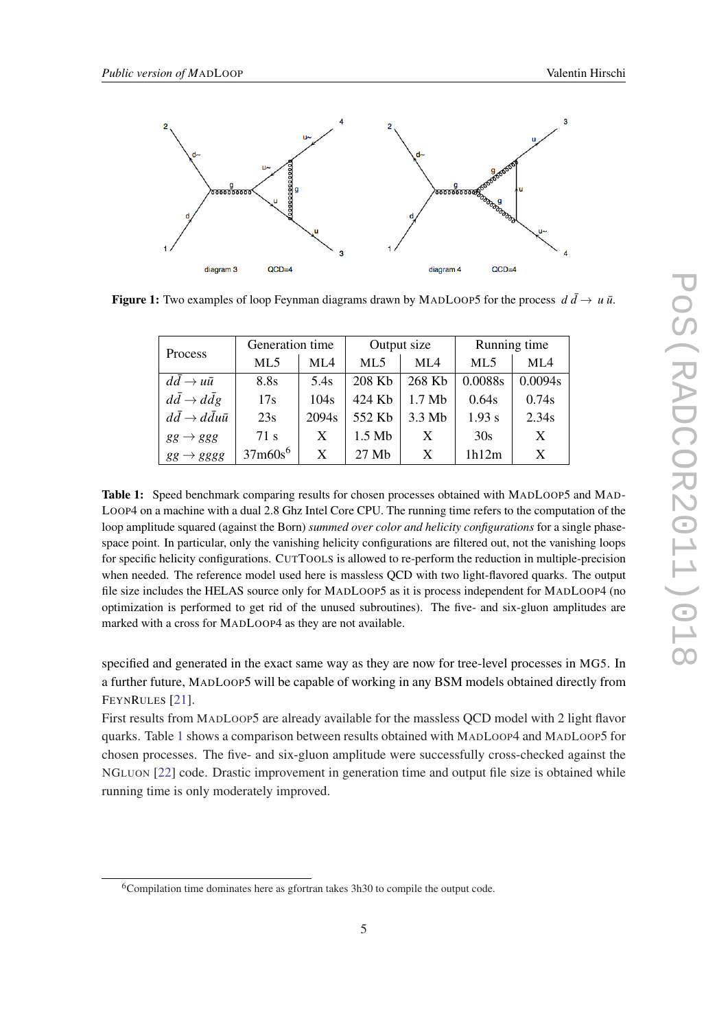<span id="page-4-0"></span>

**Figure 1:** Two examples of loop Feynman diagrams drawn by MADLOOP5 for the process  $d\bar{d} \rightarrow u\bar{u}$ .

| Process                                 | Generation time |                   | Output size |          | Running time    |         |
|-----------------------------------------|-----------------|-------------------|-------------|----------|-----------------|---------|
|                                         | ML <sub>5</sub> | ML4               | ML5         | ML4      | ML <sub>5</sub> | ML4     |
| $d\bar{d} \rightarrow u\bar{u}$         | 8.8s            | 5.4s              | 208 Kb      | 268 Kb   | 0.0088s         | 0.0094s |
| $d\bar{d} \rightarrow d\bar{d}g$        | 17s             | 104s              | 424 Kb      | $1.7$ Mb | 0.64s           | 0.74s   |
| $d\bar{d} \rightarrow d\bar{d}u\bar{u}$ | 23s             | 2094 <sub>s</sub> | 552 Kb      | $3.3$ Mb | 1.93 s          | 2.34s   |
| $gg \rightarrow ggg$                    | 71 s            | X                 | $1.5$ Mb    | X        | 30s             | X       |
| $gg \rightarrow gggg$                   | $37m60s^6$      | X                 | 27 Mb       | X        | 1h12m           | X       |

Table 1: Speed benchmark comparing results for chosen processes obtained with MADLOOP5 and MAD-LOOP4 on a machine with a dual 2.8 Ghz Intel Core CPU. The running time refers to the computation of the loop amplitude squared (against the Born) *summed over color and helicity configurations* for a single phasespace point. In particular, only the vanishing helicity configurations are filtered out, not the vanishing loops for specific helicity configurations. CUTTOOLS is allowed to re-perform the reduction in multiple-precision when needed. The reference model used here is massless QCD with two light-flavored quarks. The output file size includes the HELAS source only for MADLOOP5 as it is process independent for MADLOOP4 (no optimization is performed to get rid of the unused subroutines). The five- and six-gluon amplitudes are marked with a cross for MADLOOP4 as they are not available.

specified and generated in the exact same way as they are now for tree-level processes in MG5. In a further future, MADLOOP5 will be capable of working in any BSM models obtained directly from FEYNRULES [\[21](#page-6-0)].

First results from MADLOOP5 are already available for the massless QCD model with 2 light flavor quarks. Table 1 shows a comparison between results obtained with MADLOOP4 and MADLOOP5 for chosen processes. The five- and six-gluon amplitude were successfully cross-checked against the NGLUON [\[22](#page-6-0)] code. Drastic improvement in generation time and output file size is obtained while running time is only moderately improved.

<sup>6</sup>Compilation time dominates here as gfortran takes 3h30 to compile the output code.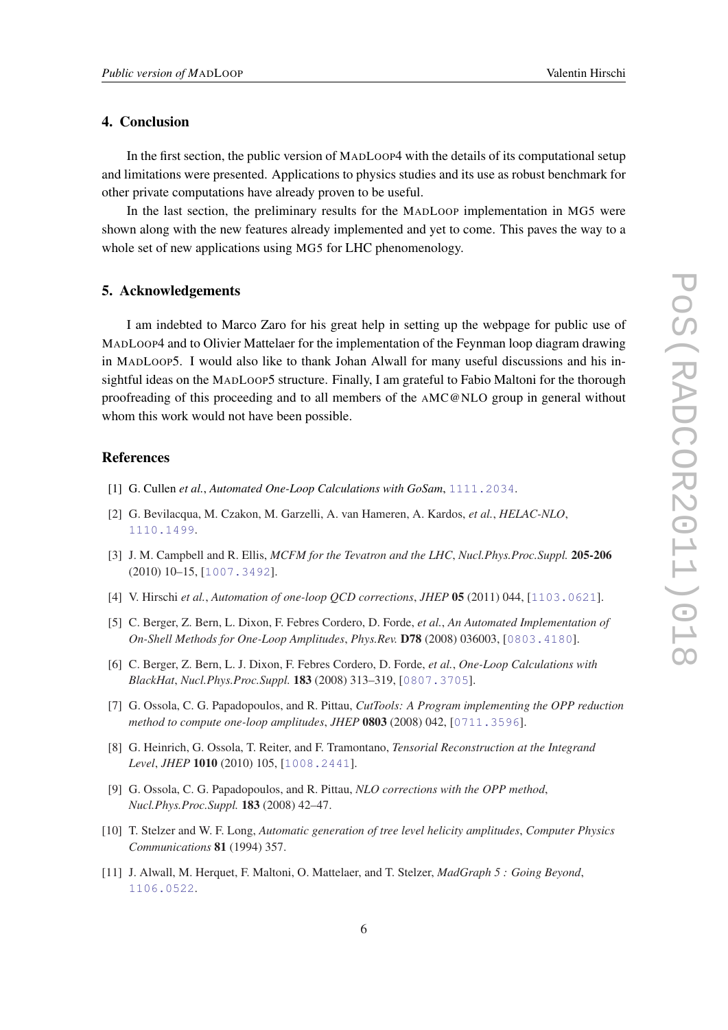# <span id="page-5-0"></span>4. Conclusion

In the first section, the public version of MADLOOP4 with the details of its computational setup and limitations were presented. Applications to physics studies and its use as robust benchmark for other private computations have already proven to be useful.

In the last section, the preliminary results for the MADLOOP implementation in MG5 were shown along with the new features already implemented and yet to come. This paves the way to a whole set of new applications using MG5 for LHC phenomenology.

### 5. Acknowledgements

I am indebted to Marco Zaro for his great help in setting up the webpage for public use of MADLOOP4 and to Olivier Mattelaer for the implementation of the Feynman loop diagram drawing in MADLOOP5. I would also like to thank Johan Alwall for many useful discussions and his insightful ideas on the MADLOOP5 structure. Finally, I am grateful to Fabio Maltoni for the thorough proofreading of this proceeding and to all members of the AMC@NLO group in general without whom this work would not have been possible.

## **References**

- [1] G. Cullen *et al.*, *Automated One-Loop Calculations with GoSam*, [1111.2034](http://xxx.lanl.gov/abs/1111.2034).
- [2] G. Bevilacqua, M. Czakon, M. Garzelli, A. van Hameren, A. Kardos, *et al.*, *HELAC-NLO*, [1110.1499](http://xxx.lanl.gov/abs/1110.1499).
- [3] J. M. Campbell and R. Ellis, *MCFM for the Tevatron and the LHC*, *Nucl.Phys.Proc.Suppl.* 205-206 (2010) 10–15, [[1007.3492](http://xxx.lanl.gov/abs/1007.3492)].
- [4] V. Hirschi *et al.*, *Automation of one-loop QCD corrections*, *JHEP* 05 (2011) 044, [[1103.0621](http://xxx.lanl.gov/abs/1103.0621)].
- [5] C. Berger, Z. Bern, L. Dixon, F. Febres Cordero, D. Forde, *et al.*, *An Automated Implementation of On-Shell Methods for One-Loop Amplitudes*, *Phys.Rev.* D78 (2008) 036003, [[0803.4180](http://xxx.lanl.gov/abs/0803.4180)].
- [6] C. Berger, Z. Bern, L. J. Dixon, F. Febres Cordero, D. Forde, *et al.*, *One-Loop Calculations with BlackHat*, *Nucl.Phys.Proc.Suppl.* 183 (2008) 313–319, [[0807.3705](http://xxx.lanl.gov/abs/0807.3705)].
- [7] G. Ossola, C. G. Papadopoulos, and R. Pittau, *CutTools: A Program implementing the OPP reduction method to compute one-loop amplitudes*, *JHEP* 0803 (2008) 042, [[0711.3596](http://xxx.lanl.gov/abs/0711.3596)].
- [8] G. Heinrich, G. Ossola, T. Reiter, and F. Tramontano, *Tensorial Reconstruction at the Integrand Level*, *JHEP* 1010 (2010) 105, [[1008.2441](http://xxx.lanl.gov/abs/1008.2441)].
- [9] G. Ossola, C. G. Papadopoulos, and R. Pittau, *NLO corrections with the OPP method*, *Nucl.Phys.Proc.Suppl.* 183 (2008) 42–47.
- [10] T. Stelzer and W. F. Long, *Automatic generation of tree level helicity amplitudes*, *Computer Physics Communications* 81 (1994) 357.
- [11] J. Alwall, M. Herquet, F. Maltoni, O. Mattelaer, and T. Stelzer, *MadGraph 5 : Going Beyond*, [1106.0522](http://xxx.lanl.gov/abs/1106.0522).